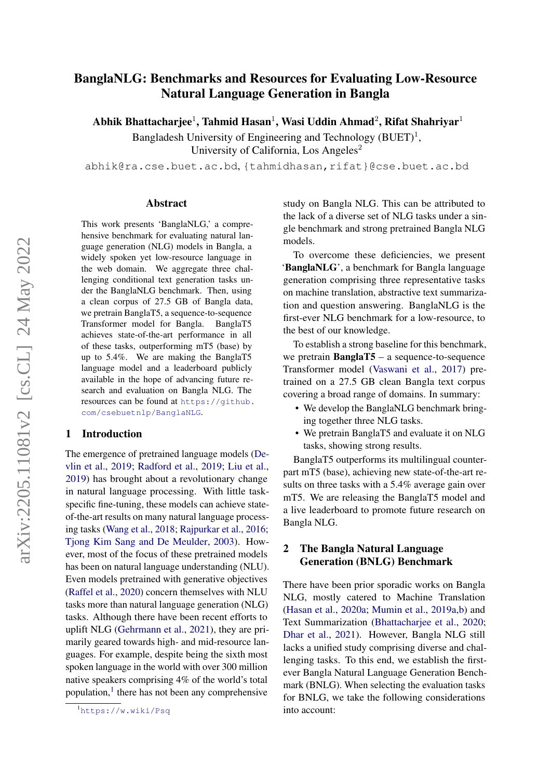# BanglaNLG: Benchmarks and Resources for Evaluating Low-Resource Natural Language Generation in Bangla

Abhik Bhattacharjee $^1$ , Tahmid Hasan $^1$ , Wasi Uddin Ahmad $^2$ , Rifat Shahriyar $^1$ 

Bangladesh University of Engineering and Technology  $(BUET)^1$ , University of California, Los Angeles<sup>2</sup>

abhik@ra.cse.buet.ac.bd, {tahmidhasan,rifat}@cse.buet.ac.bd

#### Abstract

This work presents 'BanglaNLG,' a comprehensive benchmark for evaluating natural language generation (NLG) models in Bangla, a widely spoken yet low-resource language in the web domain. We aggregate three challenging conditional text generation tasks under the BanglaNLG benchmark. Then, using a clean corpus of 27.5 GB of Bangla data, we pretrain BanglaT5, a sequence-to-sequence Transformer model for Bangla. BanglaT5 achieves state-of-the-art performance in all of these tasks, outperforming mT5 (base) by up to 5.4%. We are making the BanglaT5 language model and a leaderboard publicly available in the hope of advancing future research and evaluation on Bangla NLG. The resources can be found at [https://github.](https://github.com/csebuetnlp/BanglaNLG) [com/csebuetnlp/BanglaNLG](https://github.com/csebuetnlp/BanglaNLG).

#### 1 Introduction

The emergence of pretrained language models [\(De](#page-4-0)[vlin et al.,](#page-4-0) [2019;](#page-4-0) [Radford et al.,](#page-6-0) [2019;](#page-6-0) [Liu et al.,](#page-5-0) [2019\)](#page-5-0) has brought about a revolutionary change in natural language processing. With little taskspecific fine-tuning, these models can achieve stateof-the-art results on many natural language processing tasks [\(Wang et al.,](#page-6-1) [2018;](#page-6-1) [Rajpurkar et al.,](#page-6-2) [2016;](#page-6-2) [Tjong Kim Sang and De Meulder,](#page-6-3) [2003\)](#page-6-3). However, most of the focus of these pretrained models has been on natural language understanding (NLU). Even models pretrained with generative objectives [\(Raffel et al.,](#page-6-4) [2020\)](#page-6-4) concern themselves with NLU tasks more than natural language generation (NLG) tasks. Although there have been recent efforts to uplift NLG [\(Gehrmann et al.,](#page-4-1) [2021\)](#page-4-1), they are primarily geared towards high- and mid-resource languages. For example, despite being the sixth most spoken language in the world with over 300 million native speakers comprising 4% of the world's total population,<sup>[1](#page-0-0)</sup> there has not been any comprehensive

study on Bangla NLG. This can be attributed to the lack of a diverse set of NLG tasks under a single benchmark and strong pretrained Bangla NLG models.

To overcome these deficiencies, we present 'BanglaNLG', a benchmark for Bangla language generation comprising three representative tasks on machine translation, abstractive text summarization and question answering. BanglaNLG is the first-ever NLG benchmark for a low-resource, to the best of our knowledge.

To establish a strong baseline for this benchmark, we pretrain BanglaT5 – a sequence-to-sequence Transformer model [\(Vaswani et al.,](#page-6-5) [2017\)](#page-6-5) pretrained on a 27.5 GB clean Bangla text corpus covering a broad range of domains. In summary:

- We develop the BanglaNLG benchmark bringing together three NLG tasks.
- We pretrain BanglaT5 and evaluate it on NLG tasks, showing strong results.

BanglaT5 outperforms its multilingual counterpart mT5 (base), achieving new state-of-the-art results on three tasks with a 5.4% average gain over mT5. We are releasing the BanglaT5 model and a live leaderboard to promote future research on Bangla NLG.

# 2 The Bangla Natural Language Generation (BNLG) Benchmark

There have been prior sporadic works on Bangla NLG, mostly catered to Machine Translation [\(Hasan et al.,](#page-4-2) [2020a;](#page-4-2) [Mumin et al.,](#page-5-1) [2019a](#page-5-1)[,b\)](#page-5-2) and Text Summarization [\(Bhattacharjee et al.,](#page-3-0) [2020;](#page-3-0) [Dhar et al.,](#page-4-3) [2021\)](#page-4-3). However, Bangla NLG still lacks a unified study comprising diverse and challenging tasks. To this end, we establish the firstever Bangla Natural Language Generation Benchmark (BNLG). When selecting the evaluation tasks for BNLG, we take the following considerations into account:

<span id="page-0-0"></span> $\overline{1}_{\text{https://www.wiki/Psq}}$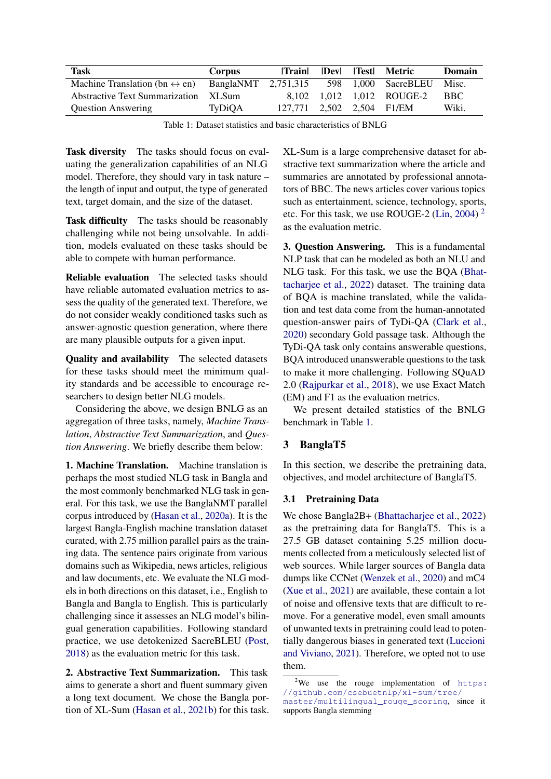<span id="page-1-1"></span>

| <b>Task</b>                                   | <b>Corpus</b>       | <b>Train</b>              | $\bf  Dev $ | lTestl | Metric                    | Domain |
|-----------------------------------------------|---------------------|---------------------------|-------------|--------|---------------------------|--------|
| Machine Translation (bn $\leftrightarrow$ en) | BanglaNMT 2.751.315 |                           |             |        | 598 1,000 SacreBLEU       | Misc.  |
| Abstractive Text Summarization                | XL Sum              |                           |             |        | 8.102 1.012 1.012 ROUGE-2 | BBC.   |
| <b>Question Answering</b>                     | TyDiOA              | 127,771 2,502 2,504 F1/EM |             |        |                           | Wiki.  |

Table 1: Dataset statistics and basic characteristics of BNLG

Task diversity The tasks should focus on evaluating the generalization capabilities of an NLG model. Therefore, they should vary in task nature – the length of input and output, the type of generated text, target domain, and the size of the dataset.

Task difficulty The tasks should be reasonably challenging while not being unsolvable. In addition, models evaluated on these tasks should be able to compete with human performance.

Reliable evaluation The selected tasks should have reliable automated evaluation metrics to assess the quality of the generated text. Therefore, we do not consider weakly conditioned tasks such as answer-agnostic question generation, where there are many plausible outputs for a given input.

Quality and availability The selected datasets for these tasks should meet the minimum quality standards and be accessible to encourage researchers to design better NLG models.

Considering the above, we design BNLG as an aggregation of three tasks, namely, *Machine Translation*, *Abstractive Text Summarization*, and *Question Answering*. We briefly describe them below:

1. Machine Translation. Machine translation is perhaps the most studied NLG task in Bangla and the most commonly benchmarked NLG task in general. For this task, we use the BanglaNMT parallel corpus introduced by [\(Hasan et al.,](#page-4-2) [2020a\)](#page-4-2). It is the largest Bangla-English machine translation dataset curated, with 2.75 million parallel pairs as the training data. The sentence pairs originate from various domains such as Wikipedia, news articles, religious and law documents, etc. We evaluate the NLG models in both directions on this dataset, i.e., English to Bangla and Bangla to English. This is particularly challenging since it assesses an NLG model's bilingual generation capabilities. Following standard practice, we use detokenized SacreBLEU [\(Post,](#page-5-3) [2018\)](#page-5-3) as the evaluation metric for this task.

2. Abstractive Text Summarization. This task aims to generate a short and fluent summary given a long text document. We chose the Bangla portion of XL-Sum [\(Hasan et al.,](#page-4-4) [2021b\)](#page-4-4) for this task. XL-Sum is a large comprehensive dataset for abstractive text summarization where the article and summaries are annotated by professional annotators of BBC. The news articles cover various topics such as entertainment, science, technology, sports, etc. For this task, we use ROUGE-2 [\(Lin,](#page-5-4) [2004\)](#page-5-4)<sup>[2](#page-1-0)</sup> as the evaluation metric.

3. Question Answering. This is a fundamental NLP task that can be modeled as both an NLU and NLG task. For this task, we use the BQA [\(Bhat](#page-3-1)[tacharjee et al.,](#page-3-1) [2022\)](#page-3-1) dataset. The training data of BQA is machine translated, while the validation and test data come from the human-annotated question-answer pairs of TyDi-QA [\(Clark et al.,](#page-3-2) [2020\)](#page-3-2) secondary Gold passage task. Although the TyDi-QA task only contains answerable questions, BQA introduced unanswerable questions to the task to make it more challenging. Following SQuAD 2.0 [\(Rajpurkar et al.,](#page-6-6) [2018\)](#page-6-6), we use Exact Match (EM) and F1 as the evaluation metrics.

We present detailed statistics of the BNLG benchmark in Table [1.](#page-1-1)

# 3 BanglaT5

In this section, we describe the pretraining data, objectives, and model architecture of BanglaT5.

### 3.1 Pretraining Data

We chose Bangla2B+ [\(Bhattacharjee et al.,](#page-3-1) [2022\)](#page-3-1) as the pretraining data for BanglaT5. This is a 27.5 GB dataset containing 5.25 million documents collected from a meticulously selected list of web sources. While larger sources of Bangla data dumps like CCNet [\(Wenzek et al.,](#page-6-7) [2020\)](#page-6-7) and mC4 [\(Xue et al.,](#page-6-8) [2021\)](#page-6-8) are available, these contain a lot of noise and offensive texts that are difficult to remove. For a generative model, even small amounts of unwanted texts in pretraining could lead to potentially dangerous biases in generated text [\(Luccioni](#page-5-5) [and Viviano,](#page-5-5) [2021\)](#page-5-5). Therefore, we opted not to use them.

<span id="page-1-0"></span><sup>&</sup>lt;sup>2</sup>We use the rouge implementation of  $https:$ [//github.com/csebuetnlp/xl-sum/tree/](https://github.com/csebuetnlp/xl-sum/tree/master/multilingual_rouge_scoring) [master/multilingual\\_rouge\\_scoring](https://github.com/csebuetnlp/xl-sum/tree/master/multilingual_rouge_scoring), since it supports Bangla stemming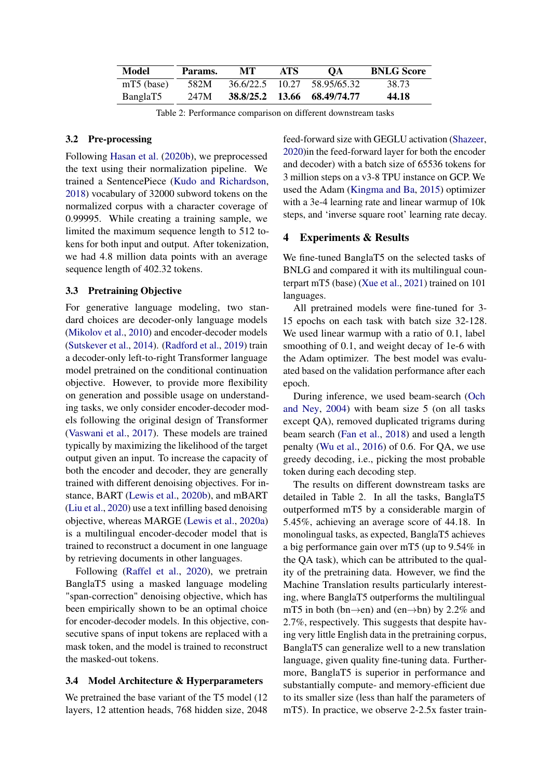| Model        | Params. | MТ              | ATS. | OА                          | <b>BNLG Score</b> |
|--------------|---------|-----------------|------|-----------------------------|-------------------|
| $mT5$ (base) | 582M    | 36.6/22.5 10.27 |      | 58.95/65.32                 | 38.73             |
| BanglaT5     | 247M    |                 |      | 38.8/25.2 13.66 68.49/74.77 | 44.18             |

Table 2: Performance comparison on different downstream tasks

#### 3.2 Pre-processing

Following [Hasan et al.](#page-4-5) [\(2020b\)](#page-4-5), we preprocessed the text using their normalization pipeline. We trained a SentencePiece [\(Kudo and Richardson,](#page-4-6) [2018\)](#page-4-6) vocabulary of 32000 subword tokens on the normalized corpus with a character coverage of 0.99995. While creating a training sample, we limited the maximum sequence length to 512 tokens for both input and output. After tokenization, we had 4.8 million data points with an average sequence length of 402.32 tokens.

### 3.3 Pretraining Objective

For generative language modeling, two standard choices are decoder-only language models [\(Mikolov et al.,](#page-5-6) [2010\)](#page-5-6) and encoder-decoder models [\(Sutskever et al.,](#page-6-9) [2014\)](#page-6-9). [\(Radford et al.,](#page-6-0) [2019\)](#page-6-0) train a decoder-only left-to-right Transformer language model pretrained on the conditional continuation objective. However, to provide more flexibility on generation and possible usage on understanding tasks, we only consider encoder-decoder models following the original design of Transformer [\(Vaswani et al.,](#page-6-5) [2017\)](#page-6-5). These models are trained typically by maximizing the likelihood of the target output given an input. To increase the capacity of both the encoder and decoder, they are generally trained with different denoising objectives. For instance, BART [\(Lewis et al.,](#page-5-7) [2020b\)](#page-5-7), and mBART [\(Liu et al.,](#page-5-8) [2020\)](#page-5-8) use a text infilling based denoising objective, whereas MARGE [\(Lewis et al.,](#page-4-7) [2020a\)](#page-4-7) is a multilingual encoder-decoder model that is trained to reconstruct a document in one language by retrieving documents in other languages.

Following [\(Raffel et al.,](#page-6-4) [2020\)](#page-6-4), we pretrain BanglaT5 using a masked language modeling "span-correction" denoising objective, which has been empirically shown to be an optimal choice for encoder-decoder models. In this objective, consecutive spans of input tokens are replaced with a mask token, and the model is trained to reconstruct the masked-out tokens.

#### 3.4 Model Architecture & Hyperparameters

We pretrained the base variant of the T5 model (12 layers, 12 attention heads, 768 hidden size, 2048 feed-forward size with GEGLU activation [\(Shazeer,](#page-6-10) [2020\)](#page-6-10)in the feed-forward layer for both the encoder and decoder) with a batch size of 65536 tokens for 3 million steps on a v3-8 TPU instance on GCP. We used the Adam [\(Kingma and Ba,](#page-4-8) [2015\)](#page-4-8) optimizer with a 3e-4 learning rate and linear warmup of 10k steps, and 'inverse square root' learning rate decay.

# 4 Experiments & Results

We fine-tuned BanglaT5 on the selected tasks of BNLG and compared it with its multilingual counterpart mT5 (base) [\(Xue et al.,](#page-6-8) [2021\)](#page-6-8) trained on 101 languages.

All pretrained models were fine-tuned for 3- 15 epochs on each task with batch size 32-128. We used linear warmup with a ratio of 0.1, label smoothing of 0.1, and weight decay of 1e-6 with the Adam optimizer. The best model was evaluated based on the validation performance after each epoch.

During inference, we used beam-search [\(Och](#page-5-9) [and Ney,](#page-5-9) [2004\)](#page-5-9) with beam size 5 (on all tasks except QA), removed duplicated trigrams during beam search [\(Fan et al.,](#page-4-9) [2018\)](#page-4-9) and used a length penalty [\(Wu et al.,](#page-6-11) [2016\)](#page-6-11) of 0.6. For QA, we use greedy decoding, i.e., picking the most probable token during each decoding step.

The results on different downstream tasks are detailed in Table 2. In all the tasks, BanglaT5 outperformed mT5 by a considerable margin of 5.45%, achieving an average score of 44.18. In monolingual tasks, as expected, BanglaT5 achieves a big performance gain over mT5 (up to 9.54% in the QA task), which can be attributed to the quality of the pretraining data. However, we find the Machine Translation results particularly interesting, where BanglaT5 outperforms the multilingual mT5 in both (bn $\rightarrow$ en) and (en $\rightarrow$ bn) by 2.2% and 2.7%, respectively. This suggests that despite having very little English data in the pretraining corpus, BanglaT5 can generalize well to a new translation language, given quality fine-tuning data. Furthermore, BanglaT5 is superior in performance and substantially compute- and memory-efficient due to its smaller size (less than half the parameters of mT5). In practice, we observe 2-2.5x faster train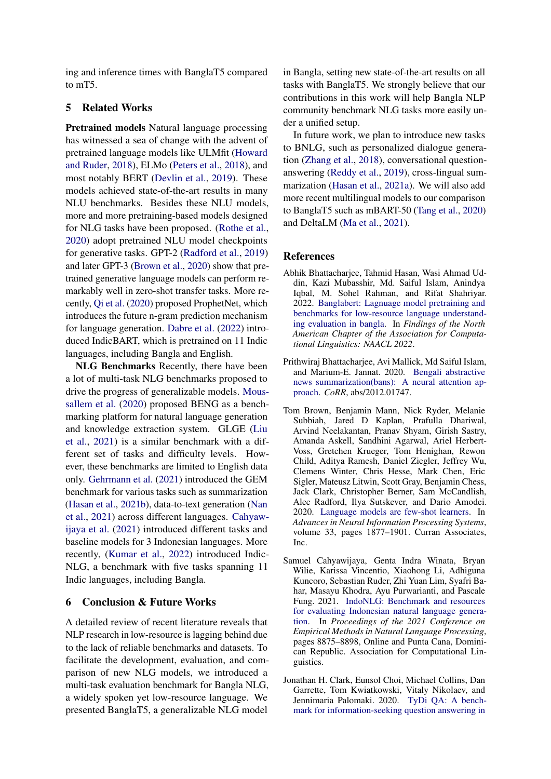ing and inference times with BanglaT5 compared to mT5.

## 5 Related Works

Pretrained models Natural language processing has witnessed a sea of change with the advent of pretrained language models like ULMfit [\(Howard](#page-4-10) [and Ruder,](#page-4-10) [2018\)](#page-4-10), ELMo [\(Peters et al.,](#page-5-10) [2018\)](#page-5-10), and most notably BERT [\(Devlin et al.,](#page-4-0) [2019\)](#page-4-0). These models achieved state-of-the-art results in many NLU benchmarks. Besides these NLU models, more and more pretraining-based models designed for NLG tasks have been proposed. [\(Rothe et al.,](#page-6-12) [2020\)](#page-6-12) adopt pretrained NLU model checkpoints for generative tasks. GPT-2 [\(Radford et al.,](#page-6-0) [2019\)](#page-6-0) and later GPT-3 [\(Brown et al.,](#page-3-3) [2020\)](#page-3-3) show that pretrained generative language models can perform remarkably well in zero-shot transfer tasks. More recently, [Qi et al.](#page-5-11) [\(2020\)](#page-5-11) proposed ProphetNet, which introduces the future n-gram prediction mechanism for language generation. [Dabre et al.](#page-4-11) [\(2022\)](#page-4-11) introduced IndicBART, which is pretrained on 11 Indic languages, including Bangla and English.

NLG Benchmarks Recently, there have been a lot of multi-task NLG benchmarks proposed to drive the progress of generalizable models. [Mous](#page-5-12)[sallem et al.](#page-5-12) [\(2020\)](#page-5-12) proposed BENG as a benchmarking platform for natural language generation and knowledge extraction system. GLGE [\(Liu](#page-5-13) [et al.,](#page-5-13) [2021\)](#page-5-13) is a similar benchmark with a different set of tasks and difficulty levels. However, these benchmarks are limited to English data only. [Gehrmann et al.](#page-4-1) [\(2021\)](#page-4-1) introduced the GEM benchmark for various tasks such as summarization [\(Hasan et al.,](#page-4-4) [2021b\)](#page-4-4), data-to-text generation [\(Nan](#page-5-14) [et al.,](#page-5-14) [2021\)](#page-5-14) across different languages. [Cahyaw](#page-3-4)[ijaya et al.](#page-3-4) [\(2021\)](#page-3-4) introduced different tasks and baseline models for 3 Indonesian languages. More recently, [\(Kumar et al.,](#page-4-12) [2022\)](#page-4-12) introduced Indic-NLG, a benchmark with five tasks spanning 11 Indic languages, including Bangla.

### 6 Conclusion & Future Works

A detailed review of recent literature reveals that NLP research in low-resource is lagging behind due to the lack of reliable benchmarks and datasets. To facilitate the development, evaluation, and comparison of new NLG models, we introduced a multi-task evaluation benchmark for Bangla NLG, a widely spoken yet low-resource language. We presented BanglaT5, a generalizable NLG model

in Bangla, setting new state-of-the-art results on all tasks with BanglaT5. We strongly believe that our contributions in this work will help Bangla NLP community benchmark NLG tasks more easily under a unified setup.

In future work, we plan to introduce new tasks to BNLG, such as personalized dialogue generation [\(Zhang et al.,](#page-6-13) [2018\)](#page-6-13), conversational questionanswering [\(Reddy et al.,](#page-6-14) [2019\)](#page-6-14), cross-lingual summarization [\(Hasan et al.,](#page-4-13) [2021a\)](#page-4-13). We will also add more recent multilingual models to our comparison to BanglaT5 such as mBART-50 [\(Tang et al.,](#page-6-15) [2020\)](#page-6-15) and DeltaLM [\(Ma et al.,](#page-5-15) [2021\)](#page-5-15).

#### References

- <span id="page-3-1"></span>Abhik Bhattacharjee, Tahmid Hasan, Wasi Ahmad Uddin, Kazi Mubasshir, Md. Saiful Islam, Anindya Iqbal, M. Sohel Rahman, and Rifat Shahriyar. 2022. [Banglabert: Lagnuage model pretraining and](https://arxiv.org/abs/2101.00204) [benchmarks for low-resource language understand](https://arxiv.org/abs/2101.00204)[ing evaluation in bangla.](https://arxiv.org/abs/2101.00204) In *Findings of the North American Chapter of the Association for Computational Linguistics: NAACL 2022*.
- <span id="page-3-0"></span>Prithwiraj Bhattacharjee, Avi Mallick, Md Saiful Islam, and Marium-E. Jannat. 2020. [Bengali abstractive](http://arxiv.org/abs/2012.01747) [news summarization\(bans\): A neural attention ap](http://arxiv.org/abs/2012.01747)[proach.](http://arxiv.org/abs/2012.01747) *CoRR*, abs/2012.01747.
- <span id="page-3-3"></span>Tom Brown, Benjamin Mann, Nick Ryder, Melanie Subbiah, Jared D Kaplan, Prafulla Dhariwal, Arvind Neelakantan, Pranav Shyam, Girish Sastry, Amanda Askell, Sandhini Agarwal, Ariel Herbert-Voss, Gretchen Krueger, Tom Henighan, Rewon Child, Aditya Ramesh, Daniel Ziegler, Jeffrey Wu, Clemens Winter, Chris Hesse, Mark Chen, Eric Sigler, Mateusz Litwin, Scott Gray, Benjamin Chess, Jack Clark, Christopher Berner, Sam McCandlish, Alec Radford, Ilya Sutskever, and Dario Amodei. 2020. [Language models are few-shot learners.](https://proceedings.neurips.cc/paper/2020/file/1457c0d6bfcb4967418bfb8ac142f64a-Paper.pdf) In *Advances in Neural Information Processing Systems*, volume 33, pages 1877–1901. Curran Associates, Inc.
- <span id="page-3-4"></span>Samuel Cahyawijaya, Genta Indra Winata, Bryan Wilie, Karissa Vincentio, Xiaohong Li, Adhiguna Kuncoro, Sebastian Ruder, Zhi Yuan Lim, Syafri Bahar, Masayu Khodra, Ayu Purwarianti, and Pascale Fung. 2021. [IndoNLG: Benchmark and resources](https://doi.org/10.18653/v1/2021.emnlp-main.699) [for evaluating Indonesian natural language genera](https://doi.org/10.18653/v1/2021.emnlp-main.699)[tion.](https://doi.org/10.18653/v1/2021.emnlp-main.699) In *Proceedings of the 2021 Conference on Empirical Methods in Natural Language Processing*, pages 8875–8898, Online and Punta Cana, Dominican Republic. Association for Computational Linguistics.
- <span id="page-3-2"></span>Jonathan H. Clark, Eunsol Choi, Michael Collins, Dan Garrette, Tom Kwiatkowski, Vitaly Nikolaev, and Jennimaria Palomaki. 2020. [TyDi QA: A bench](https://doi.org/10.1162/tacl_a_00317)[mark for information-seeking question answering in](https://doi.org/10.1162/tacl_a_00317)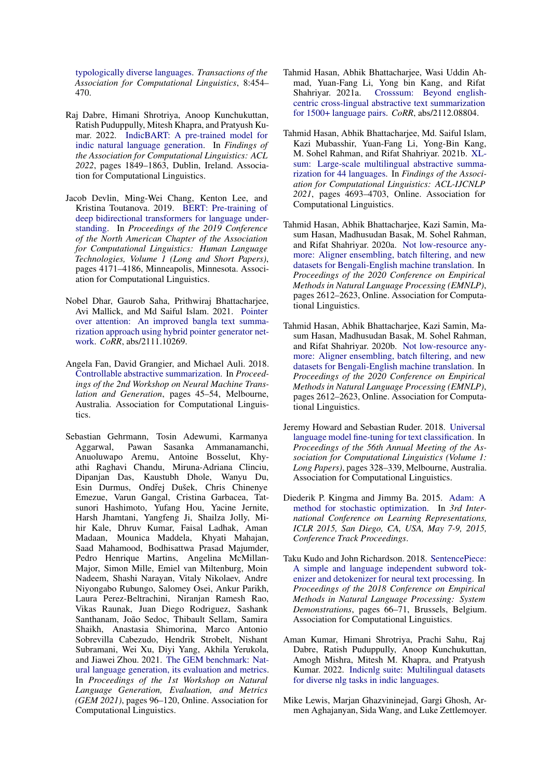[typologically diverse languages.](https://doi.org/10.1162/tacl_a_00317) *Transactions of the Association for Computational Linguistics*, 8:454– 470.

- <span id="page-4-11"></span>Raj Dabre, Himani Shrotriya, Anoop Kunchukuttan, Ratish Puduppully, Mitesh Khapra, and Pratyush Kumar. 2022. [IndicBART: A pre-trained model for](https://aclanthology.org/2022.findings-acl.145) [indic natural language generation.](https://aclanthology.org/2022.findings-acl.145) In *Findings of the Association for Computational Linguistics: ACL 2022*, pages 1849–1863, Dublin, Ireland. Association for Computational Linguistics.
- <span id="page-4-0"></span>Jacob Devlin, Ming-Wei Chang, Kenton Lee, and Kristina Toutanova. 2019. [BERT: Pre-training of](https://doi.org/10.18653/v1/N19-1423) [deep bidirectional transformers for language under](https://doi.org/10.18653/v1/N19-1423)[standing.](https://doi.org/10.18653/v1/N19-1423) In *Proceedings of the 2019 Conference of the North American Chapter of the Association for Computational Linguistics: Human Language Technologies, Volume 1 (Long and Short Papers)*, pages 4171–4186, Minneapolis, Minnesota. Association for Computational Linguistics.
- <span id="page-4-3"></span>Nobel Dhar, Gaurob Saha, Prithwiraj Bhattacharjee, Avi Mallick, and Md Saiful Islam. 2021. [Pointer](http://arxiv.org/abs/2111.10269) [over attention: An improved bangla text summa](http://arxiv.org/abs/2111.10269)[rization approach using hybrid pointer generator net](http://arxiv.org/abs/2111.10269)[work.](http://arxiv.org/abs/2111.10269) *CoRR*, abs/2111.10269.
- <span id="page-4-9"></span>Angela Fan, David Grangier, and Michael Auli. 2018. [Controllable abstractive summarization.](https://doi.org/10.18653/v1/W18-2706) In *Proceedings of the 2nd Workshop on Neural Machine Translation and Generation*, pages 45–54, Melbourne, Australia. Association for Computational Linguistics.
- <span id="page-4-1"></span>Sebastian Gehrmann, Tosin Adewumi, Karmanya Aggarwal, Pawan Sasanka Ammanamanchi, Anuoluwapo Aremu, Antoine Bosselut, Khyathi Raghavi Chandu, Miruna-Adriana Clinciu, Dipanjan Das, Kaustubh Dhole, Wanyu Du, Esin Durmus, Ondřej Dušek, Chris Chinenye Emezue, Varun Gangal, Cristina Garbacea, Tatsunori Hashimoto, Yufang Hou, Yacine Jernite, Harsh Jhamtani, Yangfeng Ji, Shailza Jolly, Mihir Kale, Dhruv Kumar, Faisal Ladhak, Aman Madaan, Mounica Maddela, Khyati Mahajan, Saad Mahamood, Bodhisattwa Prasad Majumder, Pedro Henrique Martins, Angelina McMillan-Major, Simon Mille, Emiel van Miltenburg, Moin Nadeem, Shashi Narayan, Vitaly Nikolaev, Andre Niyongabo Rubungo, Salomey Osei, Ankur Parikh, Laura Perez-Beltrachini, Niranjan Ramesh Rao, Vikas Raunak, Juan Diego Rodriguez, Sashank Santhanam, João Sedoc, Thibault Sellam, Samira Shaikh, Anastasia Shimorina, Marco Antonio Sobrevilla Cabezudo, Hendrik Strobelt, Nishant Subramani, Wei Xu, Diyi Yang, Akhila Yerukola, and Jiawei Zhou. 2021. [The GEM benchmark: Nat](https://doi.org/10.18653/v1/2021.gem-1.10)[ural language generation, its evaluation and metrics.](https://doi.org/10.18653/v1/2021.gem-1.10) In *Proceedings of the 1st Workshop on Natural Language Generation, Evaluation, and Metrics (GEM 2021)*, pages 96–120, Online. Association for Computational Linguistics.
- <span id="page-4-13"></span>Tahmid Hasan, Abhik Bhattacharjee, Wasi Uddin Ahmad, Yuan-Fang Li, Yong bin Kang, and Rifat Shahriyar. 2021a. [Crosssum: Beyond english](http://arxiv.org/abs/2112.08804)[centric cross-lingual abstractive text summarization](http://arxiv.org/abs/2112.08804) [for 1500+ language pairs.](http://arxiv.org/abs/2112.08804) *CoRR*, abs/2112.08804.
- <span id="page-4-4"></span>Tahmid Hasan, Abhik Bhattacharjee, Md. Saiful Islam, Kazi Mubasshir, Yuan-Fang Li, Yong-Bin Kang, M. Sohel Rahman, and Rifat Shahriyar. 2021b. [XL](https://doi.org/10.18653/v1/2021.findings-acl.413)[sum: Large-scale multilingual abstractive summa](https://doi.org/10.18653/v1/2021.findings-acl.413)[rization for 44 languages.](https://doi.org/10.18653/v1/2021.findings-acl.413) In *Findings of the Association for Computational Linguistics: ACL-IJCNLP 2021*, pages 4693–4703, Online. Association for Computational Linguistics.
- <span id="page-4-2"></span>Tahmid Hasan, Abhik Bhattacharjee, Kazi Samin, Masum Hasan, Madhusudan Basak, M. Sohel Rahman, and Rifat Shahriyar. 2020a. [Not low-resource any](https://doi.org/10.18653/v1/2020.emnlp-main.207)[more: Aligner ensembling, batch filtering, and new](https://doi.org/10.18653/v1/2020.emnlp-main.207) [datasets for Bengali-English machine translation.](https://doi.org/10.18653/v1/2020.emnlp-main.207) In *Proceedings of the 2020 Conference on Empirical Methods in Natural Language Processing (EMNLP)*, pages 2612–2623, Online. Association for Computational Linguistics.
- <span id="page-4-5"></span>Tahmid Hasan, Abhik Bhattacharjee, Kazi Samin, Masum Hasan, Madhusudan Basak, M. Sohel Rahman, and Rifat Shahriyar. 2020b. [Not low-resource any](https://doi.org/10.18653/v1/2020.emnlp-main.207)[more: Aligner ensembling, batch filtering, and new](https://doi.org/10.18653/v1/2020.emnlp-main.207) [datasets for Bengali-English machine translation.](https://doi.org/10.18653/v1/2020.emnlp-main.207) In *Proceedings of the 2020 Conference on Empirical Methods in Natural Language Processing (EMNLP)*, pages 2612–2623, Online. Association for Computational Linguistics.
- <span id="page-4-10"></span>Jeremy Howard and Sebastian Ruder. 2018. [Universal](https://doi.org/10.18653/v1/P18-1031) [language model fine-tuning for text classification.](https://doi.org/10.18653/v1/P18-1031) In *Proceedings of the 56th Annual Meeting of the Association for Computational Linguistics (Volume 1: Long Papers)*, pages 328–339, Melbourne, Australia. Association for Computational Linguistics.
- <span id="page-4-8"></span>Diederik P. Kingma and Jimmy Ba. 2015. [Adam: A](http://arxiv.org/abs/1412.6980) [method for stochastic optimization.](http://arxiv.org/abs/1412.6980) In *3rd International Conference on Learning Representations, ICLR 2015, San Diego, CA, USA, May 7-9, 2015, Conference Track Proceedings*.
- <span id="page-4-6"></span>Taku Kudo and John Richardson. 2018. [SentencePiece:](https://doi.org/10.18653/v1/D18-2012) [A simple and language independent subword tok](https://doi.org/10.18653/v1/D18-2012)[enizer and detokenizer for neural text processing.](https://doi.org/10.18653/v1/D18-2012) In *Proceedings of the 2018 Conference on Empirical Methods in Natural Language Processing: System Demonstrations*, pages 66–71, Brussels, Belgium. Association for Computational Linguistics.
- <span id="page-4-12"></span>Aman Kumar, Himani Shrotriya, Prachi Sahu, Raj Dabre, Ratish Puduppully, Anoop Kunchukuttan, Amogh Mishra, Mitesh M. Khapra, and Pratyush Kumar. 2022. [Indicnlg suite: Multilingual datasets](https://doi.org/10.48550/ARXIV.2203.05437) [for diverse nlg tasks in indic languages.](https://doi.org/10.48550/ARXIV.2203.05437)
- <span id="page-4-7"></span>Mike Lewis, Marjan Ghazvininejad, Gargi Ghosh, Armen Aghajanyan, Sida Wang, and Luke Zettlemoyer.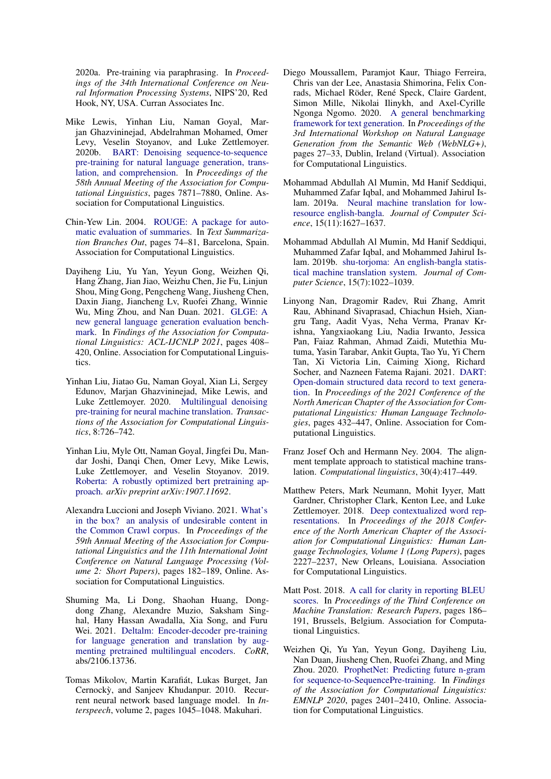2020a. Pre-training via paraphrasing. In *Proceedings of the 34th International Conference on Neural Information Processing Systems*, NIPS'20, Red Hook, NY, USA. Curran Associates Inc.

- <span id="page-5-7"></span>Mike Lewis, Yinhan Liu, Naman Goyal, Marjan Ghazvininejad, Abdelrahman Mohamed, Omer Levy, Veselin Stoyanov, and Luke Zettlemoyer. 2020b. [BART: Denoising sequence-to-sequence](https://doi.org/10.18653/v1/2020.acl-main.703) [pre-training for natural language generation, trans](https://doi.org/10.18653/v1/2020.acl-main.703)[lation, and comprehension.](https://doi.org/10.18653/v1/2020.acl-main.703) In *Proceedings of the 58th Annual Meeting of the Association for Computational Linguistics*, pages 7871–7880, Online. Association for Computational Linguistics.
- <span id="page-5-4"></span>Chin-Yew Lin. 2004. [ROUGE: A package for auto](https://aclanthology.org/W04-1013)[matic evaluation of summaries.](https://aclanthology.org/W04-1013) In *Text Summarization Branches Out*, pages 74–81, Barcelona, Spain. Association for Computational Linguistics.
- <span id="page-5-13"></span>Dayiheng Liu, Yu Yan, Yeyun Gong, Weizhen Qi, Hang Zhang, Jian Jiao, Weizhu Chen, Jie Fu, Linjun Shou, Ming Gong, Pengcheng Wang, Jiusheng Chen, Daxin Jiang, Jiancheng Lv, Ruofei Zhang, Winnie Wu, Ming Zhou, and Nan Duan. 2021. [GLGE: A](https://doi.org/10.18653/v1/2021.findings-acl.36) [new general language generation evaluation bench](https://doi.org/10.18653/v1/2021.findings-acl.36)[mark.](https://doi.org/10.18653/v1/2021.findings-acl.36) In *Findings of the Association for Computational Linguistics: ACL-IJCNLP 2021*, pages 408– 420, Online. Association for Computational Linguistics.
- <span id="page-5-8"></span>Yinhan Liu, Jiatao Gu, Naman Goyal, Xian Li, Sergey Edunov, Marjan Ghazvininejad, Mike Lewis, and Luke Zettlemoyer. 2020. [Multilingual denoising](https://doi.org/10.1162/tacl_a_00343) [pre-training for neural machine translation.](https://doi.org/10.1162/tacl_a_00343) *Transactions of the Association for Computational Linguistics*, 8:726–742.
- <span id="page-5-0"></span>Yinhan Liu, Myle Ott, Naman Goyal, Jingfei Du, Mandar Joshi, Danqi Chen, Omer Levy, Mike Lewis, Luke Zettlemoyer, and Veselin Stoyanov. 2019. [Roberta: A robustly optimized bert pretraining ap](https://arxiv.org/abs/1907.11692)[proach.](https://arxiv.org/abs/1907.11692) *arXiv preprint arXiv:1907.11692*.
- <span id="page-5-5"></span>Alexandra Luccioni and Joseph Viviano. 2021. [What's](https://doi.org/10.18653/v1/2021.acl-short.24) [in the box? an analysis of undesirable content in](https://doi.org/10.18653/v1/2021.acl-short.24) [the Common Crawl corpus.](https://doi.org/10.18653/v1/2021.acl-short.24) In *Proceedings of the 59th Annual Meeting of the Association for Computational Linguistics and the 11th International Joint Conference on Natural Language Processing (Volume 2: Short Papers)*, pages 182–189, Online. Association for Computational Linguistics.
- <span id="page-5-15"></span>Shuming Ma, Li Dong, Shaohan Huang, Dongdong Zhang, Alexandre Muzio, Saksham Singhal, Hany Hassan Awadalla, Xia Song, and Furu Wei. 2021. [Deltalm: Encoder-decoder pre-training](http://arxiv.org/abs/2106.13736) [for language generation and translation by aug](http://arxiv.org/abs/2106.13736)[menting pretrained multilingual encoders.](http://arxiv.org/abs/2106.13736) *CoRR*, abs/2106.13736.
- <span id="page-5-6"></span>Tomas Mikolov, Martin Karafiát, Lukas Burget, Jan Cernockỳ, and Sanjeev Khudanpur. 2010. Recurrent neural network based language model. In *Interspeech*, volume 2, pages 1045–1048. Makuhari.
- <span id="page-5-12"></span>Diego Moussallem, Paramjot Kaur, Thiago Ferreira, Chris van der Lee, Anastasia Shimorina, Felix Conrads, Michael Röder, René Speck, Claire Gardent, Simon Mille, Nikolai Ilinykh, and Axel-Cyrille Ngonga Ngomo. 2020. [A general benchmarking](https://aclanthology.org/2020.webnlg-1.3) [framework for text generation.](https://aclanthology.org/2020.webnlg-1.3) In *Proceedings of the 3rd International Workshop on Natural Language Generation from the Semantic Web (WebNLG+)*, pages 27–33, Dublin, Ireland (Virtual). Association for Computational Linguistics.
- <span id="page-5-1"></span>Mohammad Abdullah Al Mumin, Md Hanif Seddiqui, Muhammed Zafar Iqbal, and Mohammed Jahirul Islam. 2019a. [Neural machine translation for low](https://doi.org/10.3844/jcssp.2019.1627.1637)[resource english-bangla.](https://doi.org/10.3844/jcssp.2019.1627.1637) *Journal of Computer Science*, 15(11):1627–1637.
- <span id="page-5-2"></span>Mohammad Abdullah Al Mumin, Md Hanif Seddiqui, Muhammed Zafar Iqbal, and Mohammed Jahirul Islam. 2019b. [shu-torjoma: An english-bangla statis](https://doi.org/10.3844/jcssp.2019.1022.1039)[tical machine translation system.](https://doi.org/10.3844/jcssp.2019.1022.1039) *Journal of Computer Science*, 15(7):1022–1039.
- <span id="page-5-14"></span>Linyong Nan, Dragomir Radev, Rui Zhang, Amrit Rau, Abhinand Sivaprasad, Chiachun Hsieh, Xiangru Tang, Aadit Vyas, Neha Verma, Pranav Krishna, Yangxiaokang Liu, Nadia Irwanto, Jessica Pan, Faiaz Rahman, Ahmad Zaidi, Mutethia Mutuma, Yasin Tarabar, Ankit Gupta, Tao Yu, Yi Chern Tan, Xi Victoria Lin, Caiming Xiong, Richard Socher, and Nazneen Fatema Rajani. 2021. [DART:](https://doi.org/10.18653/v1/2021.naacl-main.37) [Open-domain structured data record to text genera](https://doi.org/10.18653/v1/2021.naacl-main.37)[tion.](https://doi.org/10.18653/v1/2021.naacl-main.37) In *Proceedings of the 2021 Conference of the North American Chapter of the Association for Computational Linguistics: Human Language Technologies*, pages 432–447, Online. Association for Computational Linguistics.
- <span id="page-5-9"></span>Franz Josef Och and Hermann Ney. 2004. The alignment template approach to statistical machine translation. *Computational linguistics*, 30(4):417–449.
- <span id="page-5-10"></span>Matthew Peters, Mark Neumann, Mohit Iyyer, Matt Gardner, Christopher Clark, Kenton Lee, and Luke Zettlemoyer. 2018. [Deep contextualized word rep](https://doi.org/10.18653/v1/N18-1202)[resentations.](https://doi.org/10.18653/v1/N18-1202) In *Proceedings of the 2018 Conference of the North American Chapter of the Association for Computational Linguistics: Human Language Technologies, Volume 1 (Long Papers)*, pages 2227–2237, New Orleans, Louisiana. Association for Computational Linguistics.
- <span id="page-5-3"></span>Matt Post. 2018. [A call for clarity in reporting BLEU](https://doi.org/10.18653/v1/W18-6319) [scores.](https://doi.org/10.18653/v1/W18-6319) In *Proceedings of the Third Conference on Machine Translation: Research Papers*, pages 186– 191, Brussels, Belgium. Association for Computational Linguistics.
- <span id="page-5-11"></span>Weizhen Qi, Yu Yan, Yeyun Gong, Dayiheng Liu, Nan Duan, Jiusheng Chen, Ruofei Zhang, and Ming Zhou. 2020. [ProphetNet: Predicting future n-gram](https://doi.org/10.18653/v1/2020.findings-emnlp.217) [for sequence-to-SequencePre-training.](https://doi.org/10.18653/v1/2020.findings-emnlp.217) In *Findings of the Association for Computational Linguistics: EMNLP 2020*, pages 2401–2410, Online. Association for Computational Linguistics.